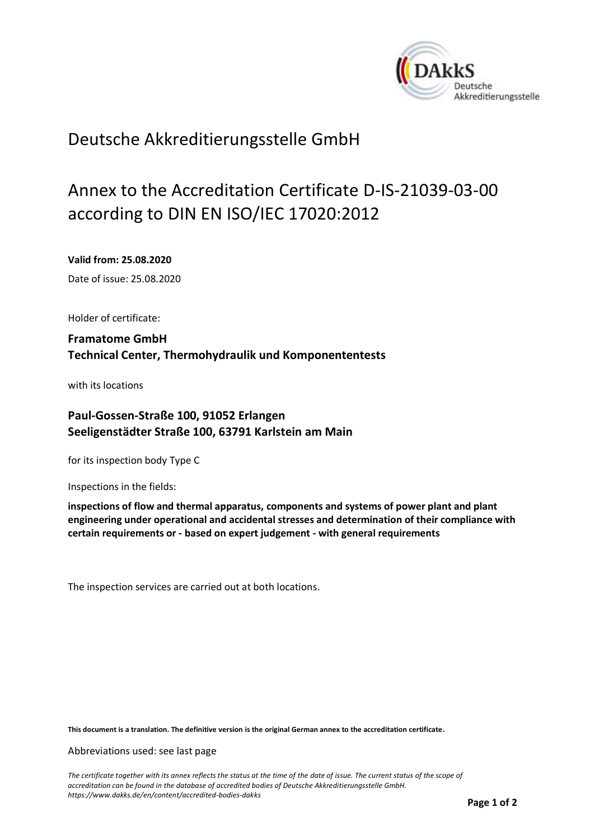<span id="page-0-0"></span>

## Deutsche Akkreditierungsstelle GmbH

# Annex to the Accreditation Certificate D-IS-21039-03-00 according to DIN EN ISO/IEC 17020:2012

<span id="page-0-1"></span>**Valid from: 25.08.2020**

<span id="page-0-2"></span>Date of issue: 25.08.2020

Holder of certificate:

**Framatome GmbH Technical Center, Thermohydraulik und Komponententests**

with its locations

### **Paul-Gossen-Straße 100, 91052 Erlangen Seeligenstädter Straße 100, 63791 Karlstein am Main**

for its inspection body Type C

Inspections in the fields:

**inspections of flow and thermal apparatus, components and systems of power plant and plant engineering under operational and accidental stresses and determination of their compliance with certain requirements or - based on expert judgement - with general requirements**

The inspection services are carried out at both locations.

**This document is a translation. The definitive version is the original German annex to the accreditation certificate.**

Abbreviations used: see last page

*The certificate together with its annex reflects the status at the time of the date of issue. The current status of the scope of accreditation can be found in the database of accredited bodies of Deutsche Akkreditierungsstelle GmbH. <https://www.dakks.de/en/content/accredited-bodies-dakks>*